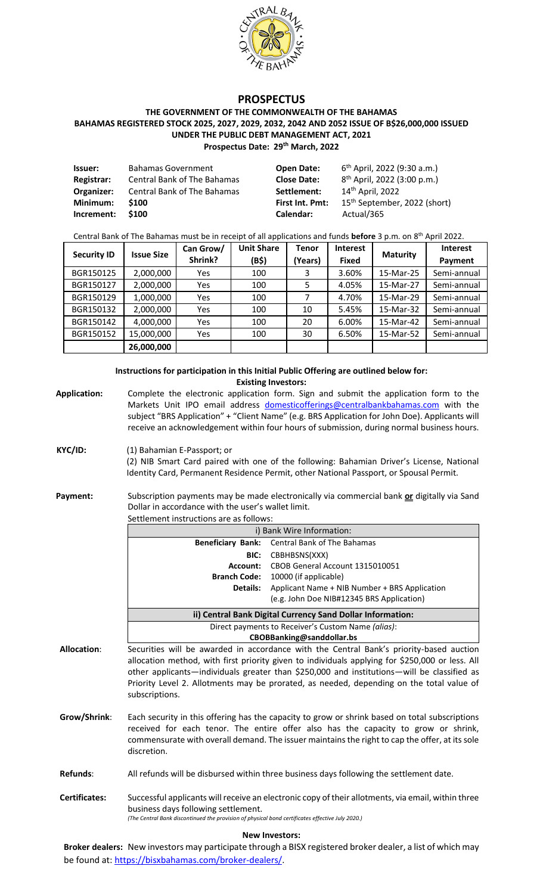

# **PROSPECTUS**

#### **THE GOVERNMENT OF THE COMMONWEALTH OF THE BAHAMAS BAHAMAS REGISTERED STOCK 2025, 2027, 2029, 2032, 2042 AND 2052 ISSUE OF B\$26,000,000 ISSUED UNDER THE PUBLIC DEBT MANAGEMENT ACT, 2021 Prospectus Date: 29th March, 2022**

| lssuer:           | <b>Bahamas Government</b>   | <b>Open Date:</b>      | $6th$ April, 2022 (9:30 a.m.)            |
|-------------------|-----------------------------|------------------------|------------------------------------------|
| <b>Registrar:</b> | Central Bank of The Bahamas | <b>Close Date:</b>     | 8 <sup>th</sup> April, 2022 (3:00 p.m.)  |
| Organizer:        | Central Bank of The Bahamas | Settlement:            | 14 <sup>th</sup> April, 2022             |
| Minimum:          | \$100                       | <b>First Int. Pmt:</b> | 15 <sup>th</sup> September, 2022 (short) |
| Increment:        | \$100                       | Calendar:              | Actual/365                               |

#### Central Bank of The Bahamas must be in receipt of all applications and funds **before** 3 p.m. on 8 th April 2022.

| <b>Security ID</b> | <b>Issue Size</b> | Can Grow/ | <b>Unit Share</b> | <b>Tenor</b> | <b>Interest</b> | <b>Maturity</b> | <b>Interest</b> |
|--------------------|-------------------|-----------|-------------------|--------------|-----------------|-----------------|-----------------|
|                    |                   | Shrink?   | (B\$)             | (Years)      | <b>Fixed</b>    |                 | Payment         |
| BGR150125          | 2,000,000         | Yes       | 100               | 3            | 3.60%           | 15-Mar-25       | Semi-annual     |
| BGR150127          | 2,000,000         | Yes       | 100               | 5            | 4.05%           | 15-Mar-27       | Semi-annual     |
| BGR150129          | 1,000,000         | Yes       | 100               |              | 4.70%           | 15-Mar-29       | Semi-annual     |
| BGR150132          | 2,000,000         | Yes       | 100               | 10           | 5.45%           | 15-Mar-32       | Semi-annual     |
| BGR150142          | 4,000,000         | Yes       | 100               | 20           | 6.00%           | 15-Mar-42       | Semi-annual     |
| BGR150152          | 15,000,000        | Yes       | 100               | 30           | 6.50%           | 15-Mar-52       | Semi-annual     |
|                    | 26,000,000        |           |                   |              |                 |                 |                 |

#### **Instructions for participation in this Initial Public Offering are outlined below for: Existing Investors:**

**Application:** Complete the electronic application form. Sign and submit the application form to the Markets Unit IPO email address [domesticofferings@centralbankbahamas.com](mailto:domesticofferings@centralbankbahamas.com) with the subject "BRS Application" + "Client Name" (e.g. BRS Application for John Doe). Applicants will receive an acknowledgement within four hours of submission, during normal business hours.

#### **KYC/ID:** (1) Bahamian E-Passport; or

(2) NIB Smart Card paired with one of the following: Bahamian Driver's License, National Identity Card, Permanent Residence Permit, other National Passport, or Spousal Permit.

Payment: Subscription payments may be made electronically via commercial bank or digitally via Sand Dollar in accordance with the user's wallet limit. Settlement instructions are as follows:

|                    | i) Bank Wire Information:                                                                                                                                                                                                                                                                                                                                                                              |                                               |  |  |
|--------------------|--------------------------------------------------------------------------------------------------------------------------------------------------------------------------------------------------------------------------------------------------------------------------------------------------------------------------------------------------------------------------------------------------------|-----------------------------------------------|--|--|
|                    | <b>Beneficiary Bank:</b>                                                                                                                                                                                                                                                                                                                                                                               | Central Bank of The Bahamas                   |  |  |
|                    | BIC:                                                                                                                                                                                                                                                                                                                                                                                                   | CBBHBSNS(XXX)                                 |  |  |
|                    | Account:                                                                                                                                                                                                                                                                                                                                                                                               | CBOB General Account 1315010051               |  |  |
|                    | <b>Branch Code:</b>                                                                                                                                                                                                                                                                                                                                                                                    | 10000 (if applicable)                         |  |  |
|                    | Details:                                                                                                                                                                                                                                                                                                                                                                                               | Applicant Name + NIB Number + BRS Application |  |  |
|                    |                                                                                                                                                                                                                                                                                                                                                                                                        | (e.g. John Doe NIB#12345 BRS Application)     |  |  |
|                    | ii) Central Bank Digital Currency Sand Dollar Information:                                                                                                                                                                                                                                                                                                                                             |                                               |  |  |
|                    | Direct payments to Receiver's Custom Name (alias):                                                                                                                                                                                                                                                                                                                                                     |                                               |  |  |
|                    | CBOBBanking@sanddollar.bs                                                                                                                                                                                                                                                                                                                                                                              |                                               |  |  |
| <b>Allocation:</b> | Securities will be awarded in accordance with the Central Bank's priority-based auction<br>allocation method, with first priority given to individuals applying for \$250,000 or less. All<br>other applicants—individuals greater than \$250,000 and institutions—will be classified as<br>Priority Level 2. Allotments may be prorated, as needed, depending on the total value of<br>subscriptions. |                                               |  |  |

- **Grow/Shrink**: Each security in this offering has the capacity to grow or shrink based on total subscriptions received for each tenor. The entire offer also has the capacity to grow or shrink, commensurate with overall demand. The issuer maintains the right to cap the offer, at its sole discretion.
- **Refunds**: All refunds will be disbursed within three business days following the settlement date.
- **Certificates:** Successful applicants will receive an electronic copy of their allotments, via email, within three business days following settlement. *(The Central Bank discontinued the provision of physical bond certificates effective July 2020.)*

#### **New Investors:**

**Broker dealers:** New investors may participate through a BISX registered broker dealer, a list of which may be found at: [https://bisxbahamas.com/broker-dealers/.](https://bisxbahamas.com/broker-dealers/)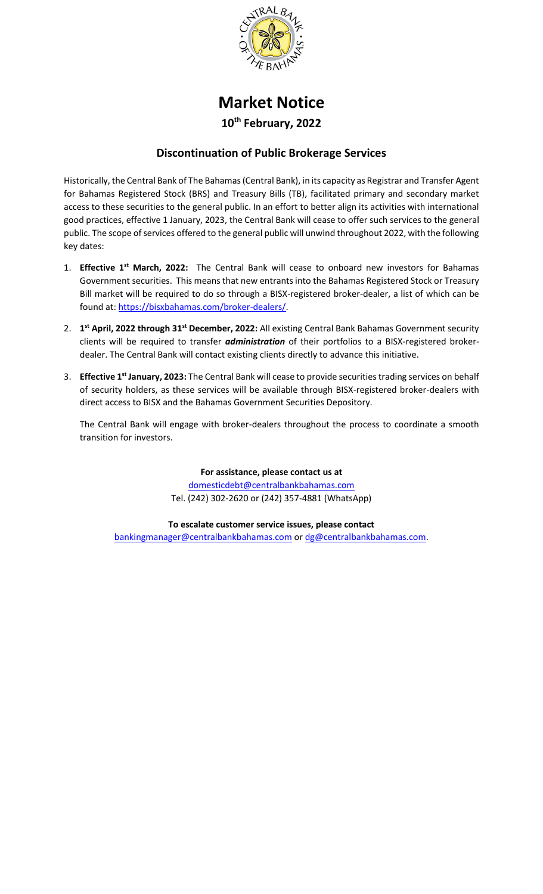

# **Market Notice 10th February, 2022**

# **Discontinuation of Public Brokerage Services**

Historically, the Central Bank of The Bahamas (Central Bank), in its capacity as Registrar and Transfer Agent for Bahamas Registered Stock (BRS) and Treasury Bills (TB), facilitated primary and secondary market access to these securities to the general public. In an effort to better align its activities with international good practices, effective 1 January, 2023, the Central Bank will cease to offer such services to the general public. The scope of services offered to the general public will unwind throughout 2022, with the following key dates:

- 1. **Effective 1st March, 2022:** The Central Bank will cease to onboard new investors for Bahamas Government securities. This means that new entrants into the Bahamas Registered Stock or Treasury Bill market will be required to do so through a BISX-registered broker-dealer, a list of which can be found at[: https://bisxbahamas.com/broker-dealers/.](https://bisxbahamas.com/broker-dealers/)
- 2. **1 st April, 2022 through 31st December, 2022:** All existing Central Bank Bahamas Government security clients will be required to transfer *administration* of their portfolios to a BISX-registered brokerdealer. The Central Bank will contact existing clients directly to advance this initiative.
- 3. **Effective 1st January, 2023:** The Central Bank will cease to provide securities trading services on behalf of security holders, as these services will be available through BISX-registered broker-dealers with direct access to BISX and the Bahamas Government Securities Depository.

The Central Bank will engage with broker-dealers throughout the process to coordinate a smooth transition for investors.

> **For assistance, please contact us at**  [domesticdebt@centralbankbahamas.com](mailto:domesticdebt@centralbankbahamas.com) Tel. (242) 302-2620 or (242) 357-4881 (WhatsApp)

**To escalate customer service issues, please contact** [bankingmanager@centralbankbahamas.com](mailto:bankingmanager@centralbankbahamas.com) or [dg@centralbankbahamas.com.](mailto:dg@centralbankbahamas.com)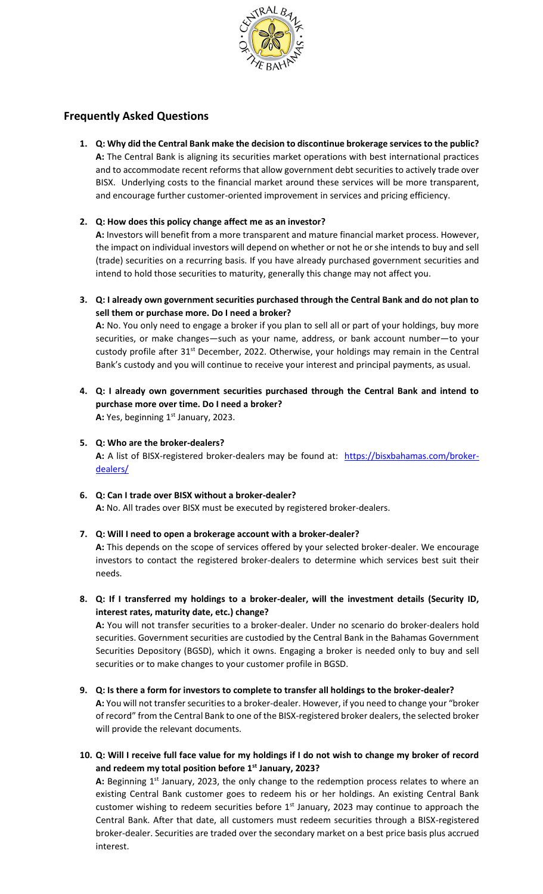

# **Frequently Asked Questions**

**1. Q: Why did the Central Bank make the decision to discontinue brokerage services to the public? A:** The Central Bank is aligning its securities market operations with best international practices and to accommodate recent reforms that allow government debt securities to actively trade over BISX. Underlying costs to the financial market around these services will be more transparent, and encourage further customer-oriented improvement in services and pricing efficiency.

# **2. Q: How does this policy change affect me as an investor?**

**A:** Investors will benefit from a more transparent and mature financial market process. However, the impact on individual investors will depend on whether or not he or she intends to buy and sell (trade) securities on a recurring basis. If you have already purchased government securities and intend to hold those securities to maturity, generally this change may not affect you.

**3. Q: I already own government securities purchased through the Central Bank and do not plan to sell them or purchase more. Do I need a broker?**

**A:** No. You only need to engage a broker if you plan to sell all or part of your holdings, buy more securities, or make changes—such as your name, address, or bank account number—to your custody profile after 31<sup>st</sup> December, 2022. Otherwise, your holdings may remain in the Central Bank's custody and you will continue to receive your interest and principal payments, as usual.

- **4. Q: I already own government securities purchased through the Central Bank and intend to purchase more over time. Do I need a broker?** A: Yes, beginning 1<sup>st</sup> January, 2023.
- **5. Q: Who are the broker-dealers? A:** A list of BISX-registered broker-dealers may be found at: [https://bisxbahamas.com/broker](https://bisxbahamas.com/broker-dealers/)[dealers/](https://bisxbahamas.com/broker-dealers/)

#### **6. Q: Can I trade over BISX without a broker-dealer? A:** No. All trades over BISX must be executed by registered broker-dealers.

## **7. Q: Will I need to open a brokerage account with a broker-dealer?**

**A:** This depends on the scope of services offered by your selected broker-dealer. We encourage investors to contact the registered broker-dealers to determine which services best suit their needs.

**8. Q: If I transferred my holdings to a broker-dealer, will the investment details (Security ID, interest rates, maturity date, etc.) change?**

**A:** You will not transfer securities to a broker-dealer. Under no scenario do broker-dealers hold securities. Government securities are custodied by the Central Bank in the Bahamas Government Securities Depository (BGSD), which it owns. Engaging a broker is needed only to buy and sell securities or to make changes to your customer profile in BGSD.

## **9. Q: Is there a form for investors to complete to transfer all holdings to the broker-dealer?**

**A:** You will not transfer securities to a broker-dealer. However, if you need to change your "broker of record" from the Central Bank to one of the BISX-registered broker dealers, the selected broker will provide the relevant documents.

**10. Q: Will I receive full face value for my holdings if I do not wish to change my broker of record and redeem my total position before 1st January, 2023?**

A: Beginning 1<sup>st</sup> January, 2023, the only change to the redemption process relates to where an existing Central Bank customer goes to redeem his or her holdings. An existing Central Bank customer wishing to redeem securities before  $1<sup>st</sup>$  January, 2023 may continue to approach the Central Bank. After that date, all customers must redeem securities through a BISX-registered broker-dealer. Securities are traded over the secondary market on a best price basis plus accrued interest.